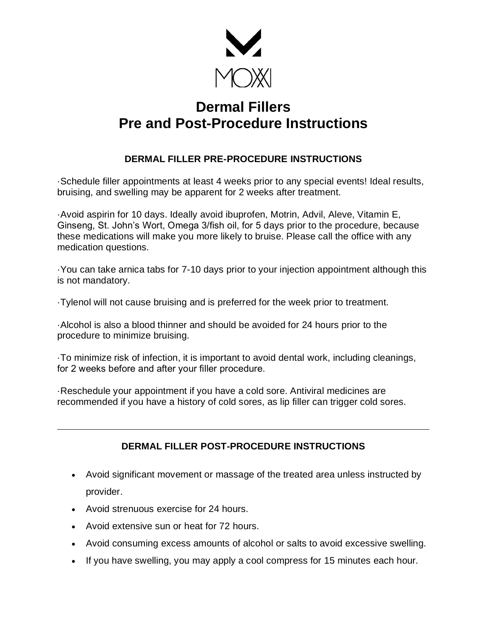

## **Dermal Fillers Pre and Post-Procedure Instructions**

## **DERMAL FILLER PRE-PROCEDURE INSTRUCTIONS**

·Schedule filler appointments at least 4 weeks prior to any special events! Ideal results, bruising, and swelling may be apparent for 2 weeks after treatment.

·Avoid aspirin for 10 days. Ideally avoid ibuprofen, Motrin, Advil, Aleve, Vitamin E, Ginseng, St. John's Wort, Omega 3/fish oil, for 5 days prior to the procedure, because these medications will make you more likely to bruise. Please call the office with any medication questions.

·You can take arnica tabs for 7-10 days prior to your injection appointment although this is not mandatory.

·Tylenol will not cause bruising and is preferred for the week prior to treatment.

·Alcohol is also a blood thinner and should be avoided for 24 hours prior to the procedure to minimize bruising.

·To minimize risk of infection, it is important to avoid dental work, including cleanings, for 2 weeks before and after your filler procedure.

·Reschedule your appointment if you have a cold sore. Antiviral medicines are recommended if you have a history of cold sores, as lip filler can trigger cold sores.

## **DERMAL FILLER POST-PROCEDURE INSTRUCTIONS**

- Avoid significant movement or massage of the treated area unless instructed by provider.
- Avoid strenuous exercise for 24 hours.
- Avoid extensive sun or heat for 72 hours.
- Avoid consuming excess amounts of alcohol or salts to avoid excessive swelling.
- If you have swelling, you may apply a cool compress for 15 minutes each hour.